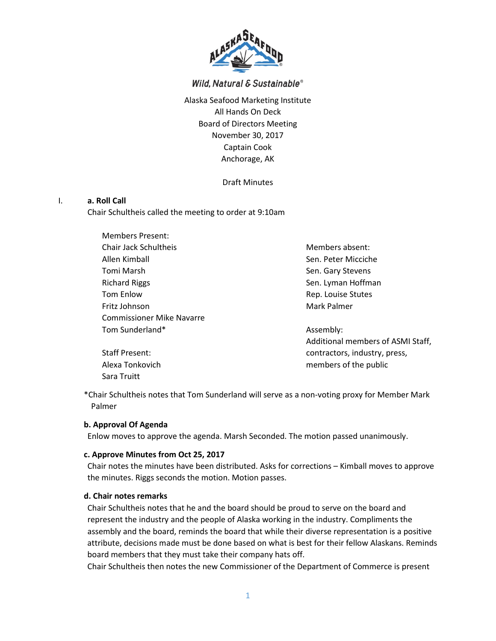

# Wild, Natural & Sustainable®

Alaska Seafood Marketing Institute All Hands On Deck Board of Directors Meeting November 30, 2017 Captain Cook Anchorage, AK

Draft Minutes

#### I. **a. Roll Call**

Chair Schultheis called the meeting to order at 9:10am

Members Present: Chair Jack Schultheis Allen Kimball Tomi Marsh Richard Riggs Tom Enlow Fritz Johnson Commissioner Mike Navarre Tom Sunderland\*

Members absent: Sen. Peter Micciche Sen. Gary Stevens Sen. Lyman Hoffman Rep. Louise Stutes Mark Palmer

Assembly: Additional members of ASMI Staff, contractors, industry, press, members of the public

\*Chair Schultheis notes that Tom Sunderland will serve as a non-voting proxy for Member Mark Palmer

#### **b. Approval Of Agenda**

Staff Present: Alexa Tonkovich Sara Truitt

Enlow moves to approve the agenda. Marsh Seconded. The motion passed unanimously.

#### **c. Approve Minutes from Oct 25, 2017**

Chair notes the minutes have been distributed. Asks for corrections – Kimball moves to approve the minutes. Riggs seconds the motion. Motion passes.

#### **d. Chair notes remarks**

Chair Schultheis notes that he and the board should be proud to serve on the board and represent the industry and the people of Alaska working in the industry. Compliments the assembly and the board, reminds the board that while their diverse representation is a positive attribute, decisions made must be done based on what is best for their fellow Alaskans. Reminds board members that they must take their company hats off.

Chair Schultheis then notes the new Commissioner of the Department of Commerce is present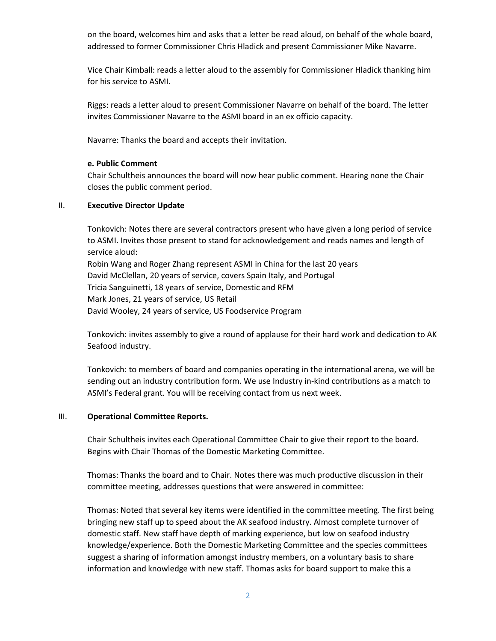on the board, welcomes him and asks that a letter be read aloud, on behalf of the whole board, addressed to former Commissioner Chris Hladick and present Commissioner Mike Navarre.

Vice Chair Kimball: reads a letter aloud to the assembly for Commissioner Hladick thanking him for his service to ASMI.

Riggs: reads a letter aloud to present Commissioner Navarre on behalf of the board. The letter invites Commissioner Navarre to the ASMI board in an ex officio capacity.

Navarre: Thanks the board and accepts their invitation.

#### **e. Public Comment**

Chair Schultheis announces the board will now hear public comment. Hearing none the Chair closes the public comment period.

#### II. **Executive Director Update**

Tonkovich: Notes there are several contractors present who have given a long period of service to ASMI. Invites those present to stand for acknowledgement and reads names and length of service aloud: Robin Wang and Roger Zhang represent ASMI in China for the last 20 years

David McClellan, 20 years of service, covers Spain Italy, and Portugal Tricia Sanguinetti, 18 years of service, Domestic and RFM Mark Jones, 21 years of service, US Retail David Wooley, 24 years of service, US Foodservice Program

Tonkovich: invites assembly to give a round of applause for their hard work and dedication to AK Seafood industry.

Tonkovich: to members of board and companies operating in the international arena, we will be sending out an industry contribution form. We use Industry in-kind contributions as a match to ASMI's Federal grant. You will be receiving contact from us next week.

## III. **Operational Committee Reports.**

Chair Schultheis invites each Operational Committee Chair to give their report to the board. Begins with Chair Thomas of the Domestic Marketing Committee.

Thomas: Thanks the board and to Chair. Notes there was much productive discussion in their committee meeting, addresses questions that were answered in committee:

Thomas: Noted that several key items were identified in the committee meeting. The first being bringing new staff up to speed about the AK seafood industry. Almost complete turnover of domestic staff. New staff have depth of marking experience, but low on seafood industry knowledge/experience. Both the Domestic Marketing Committee and the species committees suggest a sharing of information amongst industry members, on a voluntary basis to share information and knowledge with new staff. Thomas asks for board support to make this a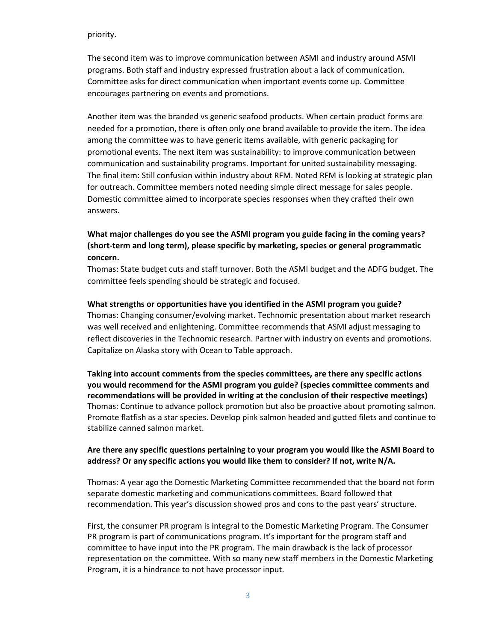#### priority.

The second item was to improve communication between ASMI and industry around ASMI programs. Both staff and industry expressed frustration about a lack of communication. Committee asks for direct communication when important events come up. Committee encourages partnering on events and promotions.

Another item was the branded vs generic seafood products. When certain product forms are needed for a promotion, there is often only one brand available to provide the item. The idea among the committee was to have generic items available, with generic packaging for promotional events. The next item was sustainability: to improve communication between communication and sustainability programs. Important for united sustainability messaging. The final item: Still confusion within industry about RFM. Noted RFM is looking at strategic plan for outreach. Committee members noted needing simple direct message for sales people. Domestic committee aimed to incorporate species responses when they crafted their own answers.

# **What major challenges do you see the ASMI program you guide facing in the coming years? (short-term and long term), please specific by marketing, species or general programmatic concern.**

Thomas: State budget cuts and staff turnover. Both the ASMI budget and the ADFG budget. The committee feels spending should be strategic and focused.

#### **What strengths or opportunities have you identified in the ASMI program you guide?**

Thomas: Changing consumer/evolving market. Technomic presentation about market research was well received and enlightening. Committee recommends that ASMI adjust messaging to reflect discoveries in the Technomic research. Partner with industry on events and promotions. Capitalize on Alaska story with Ocean to Table approach.

**Taking into account comments from the species committees, are there any specific actions you would recommend for the ASMI program you guide? (species committee comments and recommendations will be provided in writing at the conclusion of their respective meetings)**  Thomas: Continue to advance pollock promotion but also be proactive about promoting salmon. Promote flatfish as a star species. Develop pink salmon headed and gutted filets and continue to stabilize canned salmon market.

## **Are there any specific questions pertaining to your program you would like the ASMI Board to address? Or any specific actions you would like them to consider? If not, write N/A.**

Thomas: A year ago the Domestic Marketing Committee recommended that the board not form separate domestic marketing and communications committees. Board followed that recommendation. This year's discussion showed pros and cons to the past years' structure.

First, the consumer PR program is integral to the Domestic Marketing Program. The Consumer PR program is part of communications program. It's important for the program staff and committee to have input into the PR program. The main drawback is the lack of processor representation on the committee. With so many new staff members in the Domestic Marketing Program, it is a hindrance to not have processor input.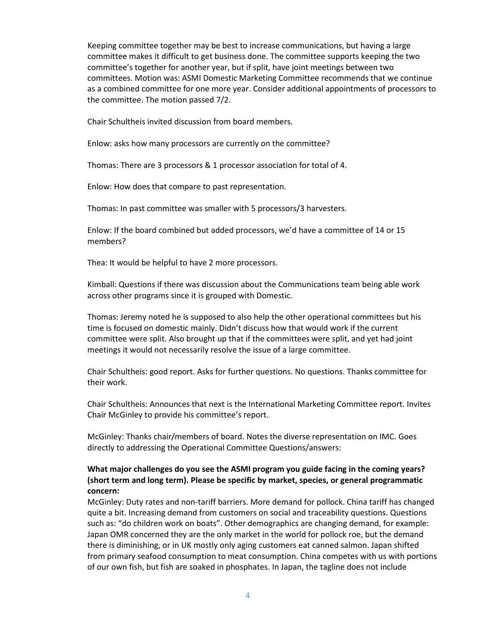Keeping committee together may be best to increase communications, but having a large committee makes it difficult to get business done. The committee supports keeping the two committee's together for another year, but if split, have joint meetings between two committees. Motion was: ASMI Domestic Marketing Committee recommends that we continue as a combined committee for one more year. Consider additional appointments of processors to the committee. The motion passed 7/2.

Chair Schultheis invited discussion from board members.

Enlow: asks how many processors are currently on the committee?

Thomas: There are 3 processors & 1 processor association for total of 4.

Enlow: How does that compare to past representation.

Thomas: In past committee was smaller with 5 processors/3 harvesters.

Enlow: If the board combined but added processors, we'd have a committee of 14 or 15 members?

Thea: It would be helpful to have 2 more processors.

Kimball: Questions if there was discussion about the Communications team being able work across other programs since it is grouped with Domestic.

Thomas: Jeremy noted he is supposed to also help the other operational committees but his time is focused on domestic mainly. Didn't discuss how that would work if the current committee were split. Also brought up that if the committees were split, and yet had joint meetings it would not necessarily resolve the issue of a large committee.

Chair Schultheis: good report. Asks for further questions. No questions. Thanks committee for their work.

Chair Schultheis: Announces that next is the International Marketing Committee report. Invites Chair McGinley to provide his committee's report.

McGinley: Thanks chair/members of board. Notes the diverse representation on IMC. Goes directly to addressing the Operational Committee Questions/answers:

## **What major challenges do you see the ASMI program you guide facing in the coming years? (short term and long term). Please be specific by market, species, or general programmatic concern:**

McGinley: Duty rates and non-tariff barriers. More demand for pollock. China tariff has changed quite a bit. Increasing demand from customers on social and traceability questions. Questions such as: "do children work on boats". Other demographics are changing demand, for example: Japan OMR concerned they are the only market in the world for pollock roe, but the demand there is diminishing, or in UK mostly only aging customers eat canned salmon. Japan shifted from primary seafood consumption to meat consumption. China competes with us with portions of our own fish, but fish are soaked in phosphates. In Japan, the tagline does not include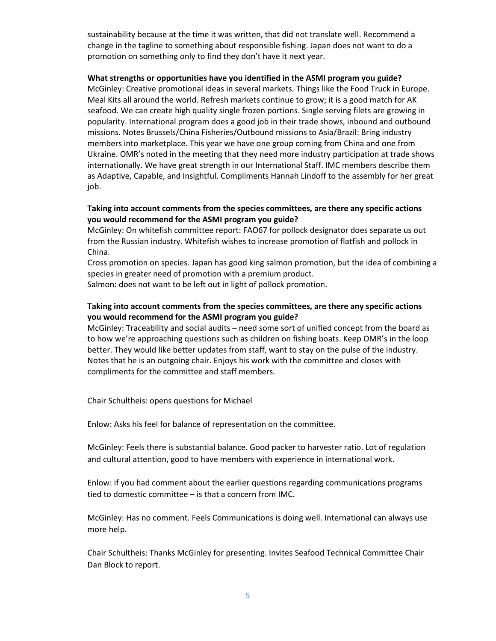sustainability because at the time it was written, that did not translate well. Recommend a change in the tagline to something about responsible fishing. Japan does not want to do a promotion on something only to find they don't have it next year.

#### **What strengths or opportunities have you identified in the ASMI program you guide?**

McGinley: Creative promotional ideas in several markets. Things like the Food Truck in Europe. Meal Kits all around the world. Refresh markets continue to grow; it is a good match for AK seafood. We can create high quality single frozen portions. Single serving filets are growing in popularity. International program does a good job in their trade shows, inbound and outbound missions. Notes Brussels/China Fisheries/Outbound missions to Asia/Brazil: Bring industry members into marketplace. This year we have one group coming from China and one from Ukraine. OMR's noted in the meeting that they need more industry participation at trade shows internationally. We have great strength in our International Staff. IMC members describe them as Adaptive, Capable, and Insightful. Compliments Hannah Lindoff to the assembly for her great job.

## **Taking into account comments from the species committees, are there any specific actions you would recommend for the ASMI program you guide?**

McGinley: On whitefish committee report: FAO67 for pollock designator does separate us out from the Russian industry. Whitefish wishes to increase promotion of flatfish and pollock in China.

Cross promotion on species. Japan has good king salmon promotion, but the idea of combining a species in greater need of promotion with a premium product.

Salmon: does not want to be left out in light of pollock promotion.

## **Taking into account comments from the species committees, are there any specific actions you would recommend for the ASMI program you guide?**

McGinley: Traceability and social audits – need some sort of unified concept from the board as to how we're approaching questions such as children on fishing boats. Keep OMR's in the loop better. They would like better updates from staff, want to stay on the pulse of the industry. Notes that he is an outgoing chair. Enjoys his work with the committee and closes with compliments for the committee and staff members.

Chair Schultheis: opens questions for Michael

Enlow: Asks his feel for balance of representation on the committee.

McGinley: Feels there is substantial balance. Good packer to harvester ratio. Lot of regulation and cultural attention, good to have members with experience in international work.

Enlow: if you had comment about the earlier questions regarding communications programs tied to domestic committee – is that a concern from IMC.

McGinley: Has no comment. Feels Communications is doing well. International can always use more help.

Chair Schultheis: Thanks McGinley for presenting. Invites Seafood Technical Committee Chair Dan Block to report.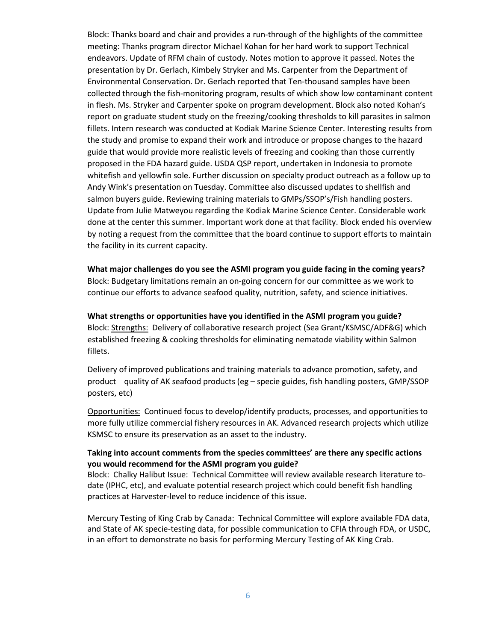Block: Thanks board and chair and provides a run-through of the highlights of the committee meeting: Thanks program director Michael Kohan for her hard work to support Technical endeavors. Update of RFM chain of custody. Notes motion to approve it passed. Notes the presentation by Dr. Gerlach, Kimbely Stryker and Ms. Carpenter from the Department of Environmental Conservation. Dr. Gerlach reported that Ten-thousand samples have been collected through the fish-monitoring program, results of which show low contaminant content in flesh. Ms. Stryker and Carpenter spoke on program development. Block also noted Kohan's report on graduate student study on the freezing/cooking thresholds to kill parasites in salmon fillets. Intern research was conducted at Kodiak Marine Science Center. Interesting results from the study and promise to expand their work and introduce or propose changes to the hazard guide that would provide more realistic levels of freezing and cooking than those currently proposed in the FDA hazard guide. USDA QSP report, undertaken in Indonesia to promote whitefish and yellowfin sole. Further discussion on specialty product outreach as a follow up to Andy Wink's presentation on Tuesday. Committee also discussed updates to shellfish and salmon buyers guide. Reviewing training materials to GMPs/SSOP's/Fish handling posters. Update from Julie Matweyou regarding the Kodiak Marine Science Center. Considerable work done at the center this summer. Important work done at that facility. Block ended his overview by noting a request from the committee that the board continue to support efforts to maintain the facility in its current capacity.

**What major challenges do you see the ASMI program you guide facing in the coming years?** Block: Budgetary limitations remain an on-going concern for our committee as we work to continue our efforts to advance seafood quality, nutrition, safety, and science initiatives.

**What strengths or opportunities have you identified in the ASMI program you guide?** Block: Strengths: Delivery of collaborative research project (Sea Grant/KSMSC/ADF&G) which established freezing & cooking thresholds for eliminating nematode viability within Salmon fillets.

Delivery of improved publications and training materials to advance promotion, safety, and product quality of AK seafood products (eg – specie guides, fish handling posters, GMP/SSOP posters, etc)

Opportunities: Continued focus to develop/identify products, processes, and opportunities to more fully utilize commercial fishery resources in AK. Advanced research projects which utilize KSMSC to ensure its preservation as an asset to the industry.

### **Taking into account comments from the species committees' are there any specific actions you would recommend for the ASMI program you guide?**

Block: Chalky Halibut Issue: Technical Committee will review available research literature todate (IPHC, etc), and evaluate potential research project which could benefit fish handling practices at Harvester-level to reduce incidence of this issue.

Mercury Testing of King Crab by Canada: Technical Committee will explore available FDA data, and State of AK specie-testing data, for possible communication to CFIA through FDA, or USDC, in an effort to demonstrate no basis for performing Mercury Testing of AK King Crab.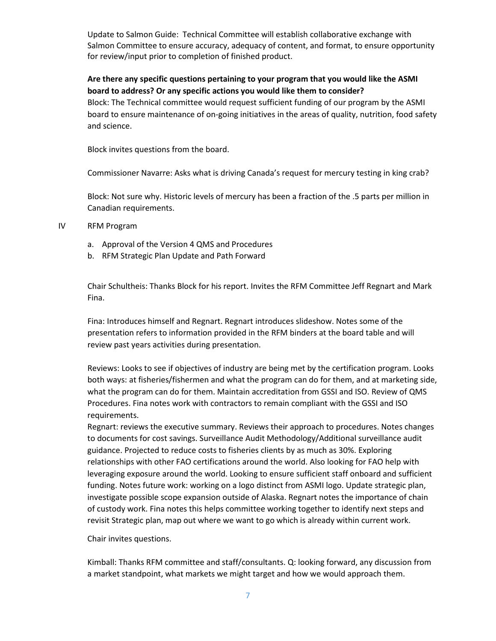Update to Salmon Guide: Technical Committee will establish collaborative exchange with Salmon Committee to ensure accuracy, adequacy of content, and format, to ensure opportunity for review/input prior to completion of finished product.

## **Are there any specific questions pertaining to your program that you would like the ASMI board to address? Or any specific actions you would like them to consider?**

Block: The Technical committee would request sufficient funding of our program by the ASMI board to ensure maintenance of on-going initiatives in the areas of quality, nutrition, food safety and science.

Block invites questions from the board.

Commissioner Navarre: Asks what is driving Canada's request for mercury testing in king crab?

Block: Not sure why. Historic levels of mercury has been a fraction of the .5 parts per million in Canadian requirements.

- IV RFM Program
	- a. Approval of the Version 4 QMS and Procedures
	- b. RFM Strategic Plan Update and Path Forward

Chair Schultheis: Thanks Block for his report. Invites the RFM Committee Jeff Regnart and Mark Fina.

Fina: Introduces himself and Regnart. Regnart introduces slideshow. Notes some of the presentation refers to information provided in the RFM binders at the board table and will review past years activities during presentation.

Reviews: Looks to see if objectives of industry are being met by the certification program. Looks both ways: at fisheries/fishermen and what the program can do for them, and at marketing side, what the program can do for them. Maintain accreditation from GSSI and ISO. Review of QMS Procedures. Fina notes work with contractors to remain compliant with the GSSI and ISO requirements.

Regnart: reviews the executive summary. Reviews their approach to procedures. Notes changes to documents for cost savings. Surveillance Audit Methodology/Additional surveillance audit guidance. Projected to reduce costs to fisheries clients by as much as 30%. Exploring relationships with other FAO certifications around the world. Also looking for FAO help with leveraging exposure around the world. Looking to ensure sufficient staff onboard and sufficient funding. Notes future work: working on a logo distinct from ASMI logo. Update strategic plan, investigate possible scope expansion outside of Alaska. Regnart notes the importance of chain of custody work. Fina notes this helps committee working together to identify next steps and revisit Strategic plan, map out where we want to go which is already within current work.

Chair invites questions.

Kimball: Thanks RFM committee and staff/consultants. Q: looking forward, any discussion from a market standpoint, what markets we might target and how we would approach them.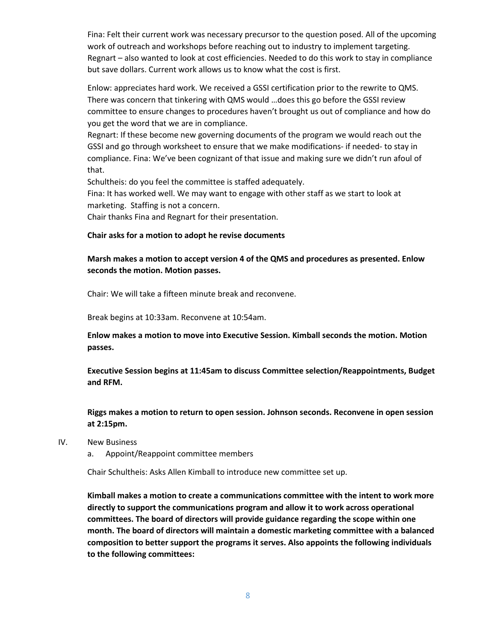Fina: Felt their current work was necessary precursor to the question posed. All of the upcoming work of outreach and workshops before reaching out to industry to implement targeting. Regnart – also wanted to look at cost efficiencies. Needed to do this work to stay in compliance but save dollars. Current work allows us to know what the cost is first.

Enlow: appreciates hard work. We received a GSSI certification prior to the rewrite to QMS. There was concern that tinkering with QMS would …does this go before the GSSI review committee to ensure changes to procedures haven't brought us out of compliance and how do you get the word that we are in compliance.

Regnart: If these become new governing documents of the program we would reach out the GSSI and go through worksheet to ensure that we make modifications- if needed- to stay in compliance. Fina: We've been cognizant of that issue and making sure we didn't run afoul of that.

Schultheis: do you feel the committee is staffed adequately.

Fina: It has worked well. We may want to engage with other staff as we start to look at marketing. Staffing is not a concern.

Chair thanks Fina and Regnart for their presentation.

#### **Chair asks for a motion to adopt he revise documents**

## **Marsh makes a motion to accept version 4 of the QMS and procedures as presented. Enlow seconds the motion. Motion passes.**

Chair: We will take a fifteen minute break and reconvene.

Break begins at 10:33am. Reconvene at 10:54am.

**Enlow makes a motion to move into Executive Session. Kimball seconds the motion. Motion passes.**

**Executive Session begins at 11:45am to discuss Committee selection/Reappointments, Budget and RFM.**

**Riggs makes a motion to return to open session. Johnson seconds. Reconvene in open session at 2:15pm.**

- IV. New Business
	- a. Appoint/Reappoint committee members

Chair Schultheis: Asks Allen Kimball to introduce new committee set up.

**Kimball makes a motion to create a communications committee with the intent to work more directly to support the communications program and allow it to work across operational committees. The board of directors will provide guidance regarding the scope within one month. The board of directors will maintain a domestic marketing committee with a balanced composition to better support the programs it serves. Also appoints the following individuals to the following committees:**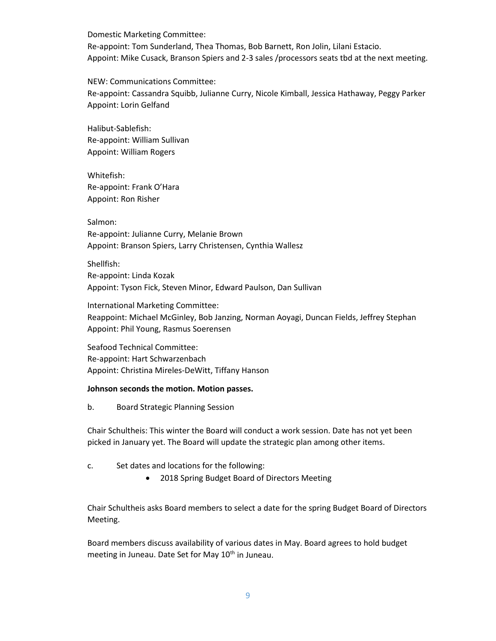Domestic Marketing Committee: Re-appoint: Tom Sunderland, Thea Thomas, Bob Barnett, Ron Jolin, Lilani Estacio. Appoint: Mike Cusack, Branson Spiers and 2-3 sales /processors seats tbd at the next meeting.

NEW: Communications Committee: Re-appoint: Cassandra Squibb, Julianne Curry, Nicole Kimball, Jessica Hathaway, Peggy Parker Appoint: Lorin Gelfand

Halibut-Sablefish: Re-appoint: William Sullivan Appoint: William Rogers

Whitefish: Re-appoint: Frank O'Hara Appoint: Ron Risher

Salmon: Re-appoint: Julianne Curry, Melanie Brown Appoint: Branson Spiers, Larry Christensen, Cynthia Wallesz

Shellfish: Re-appoint: Linda Kozak Appoint: Tyson Fick, Steven Minor, Edward Paulson, Dan Sullivan

International Marketing Committee: Reappoint: Michael McGinley, Bob Janzing, Norman Aoyagi, Duncan Fields, Jeffrey Stephan Appoint: Phil Young, Rasmus Soerensen

Seafood Technical Committee: Re-appoint: Hart Schwarzenbach Appoint: Christina Mireles-DeWitt, Tiffany Hanson

## **Johnson seconds the motion. Motion passes.**

b. Board Strategic Planning Session

Chair Schultheis: This winter the Board will conduct a work session. Date has not yet been picked in January yet. The Board will update the strategic plan among other items.

- c. Set dates and locations for the following:
	- 2018 Spring Budget Board of Directors Meeting

Chair Schultheis asks Board members to select a date for the spring Budget Board of Directors Meeting.

Board members discuss availability of various dates in May. Board agrees to hold budget meeting in Juneau. Date Set for May 10<sup>th</sup> in Juneau.